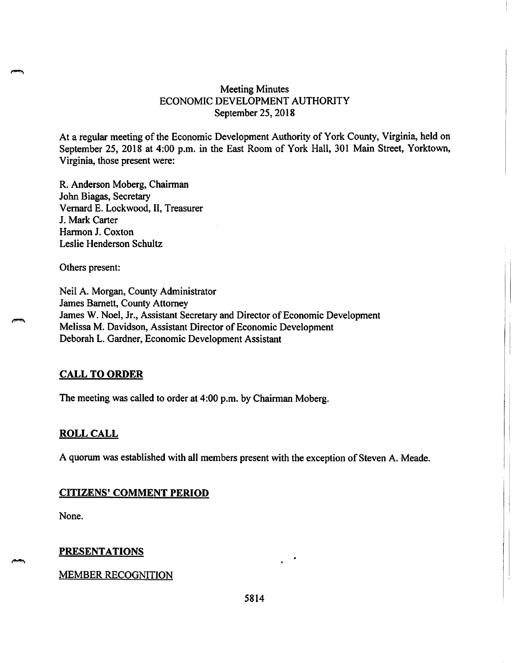# **Meeting Minutes** ECONOMIC DEVELOPMENT AUTHORITY September 25, 2018

At a regular meeting of the Economic Development Authority of York County, Virginia, held on September 25, 2018 at 4:00 p.m. in the East Room of York Hall, 301 Main Street, Yorktown, Virginia, those present were:

R. Anderson Moberg, Chairman John Biagas, Secretary Vernard E. Lockwood, II, Treasurer J. Mark Carter Harmon J. Coxton Leslie Henderson Schultz

Others present:

Neil A. Morgan, County Administrator James Barnett, County Attorney James W. Noel, Jr., Assistant Secretary and Director of Economic Development Melissa M. Davidson, Assistant Director of Economic Development Deborah L. Gardner, Economic Development Assistant

#### **CALL TO ORDER**

The meeting was called to order at 4:00 p.m. by Chairman Moberg.

#### **ROLL CALL**

A quorum was established with all members present with the exception of Steven A. Meade.

#### **CITIZENS' COMMENT PERIOD**

None.

#### **PRESENTATIONS**

#### **MEMBER RECOGNITION**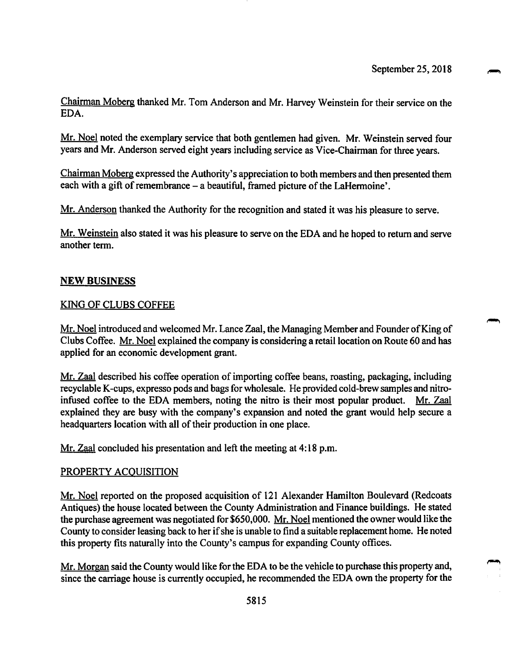Chairman Moberg thanked Mr. Tom Anderson and Mr. Harvey Weinstein for their service on the EDA.

Mr. Noel noted the exemplary service that both gentlemen had given. Mr. Weinstein served four years and Mr. Anderson served eight years including service as Vice-Chairman for three years.

Chairman Moberg expressed the Authority's appreciation to both members and then presented them each with a gift of remembrance – a beautiful, framed picture of the LaHermoine'.

Mr. Anderson thanked the Authority for the recognition and stated it was his pleasure to serve.

Mr. Weinstein also stated it was his pleasure to serve on the EDA and he hoped to return and serve another term.

#### **NEW BUSINESS**

#### **KING OF CLUBS COFFEE**

Mr. Noel introduced and welcomed Mr. Lance Zaal, the Managing Member and Founder of King of Clubs Coffee. Mr. Noel explained the company is considering a retail location on Route 60 and has applied for an economic development grant.

Mr. Zaal described his coffee operation of importing coffee beans, roasting, packaging, including recyclable K-cups, expresso pods and bags for wholesale. He provided cold-brew samples and nitroinfused coffee to the EDA members, noting the nitro is their most popular product. Mr. Zaal explained they are busy with the company's expansion and noted the grant would help secure a headquarters location with all of their production in one place.

Mr. Zaal concluded his presentation and left the meeting at 4:18 p.m.

#### PROPERTY ACQUISITION

Mr. Noel reported on the proposed acquisition of 121 Alexander Hamilton Boulevard (Redcoats Antiques) the house located between the County Administration and Finance buildings. He stated the purchase agreement was negotiated for \$650,000. Mr. Noel mentioned the owner would like the County to consider leasing back to her if she is unable to find a suitable replacement home. He noted this property fits naturally into the County's campus for expanding County offices.

Mr. Morgan said the County would like for the EDA to be the vehicle to purchase this property and, since the carriage house is currently occupied, he recommended the EDA own the property for the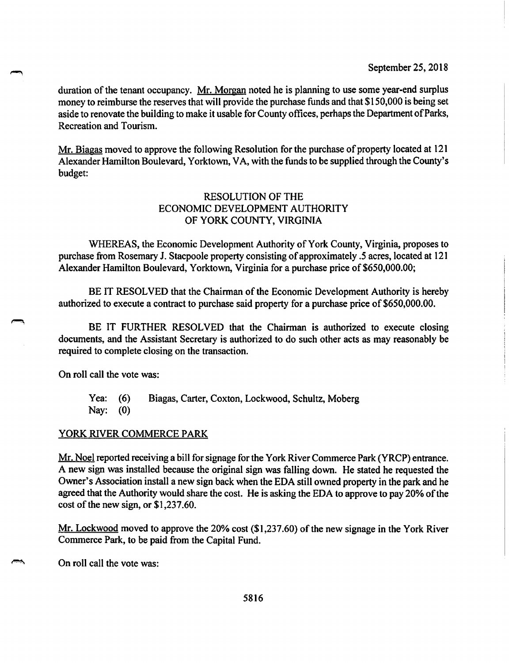September 25, 2018

duration of the tenant occupancy. Mr. Morgan noted he is planning to use some year-end surplus money to reimburse the reserves that will provide the purchase funds and that \$150,000 is being set aside to renovate the building to make it usable for County offices, perhaps the Department of Parks, Recreation and Tourism.

Mr. Biagas moved to approve the following Resolution for the purchase of property located at 121 Alexander Hamilton Boulevard, Yorktown, VA, with the funds to be supplied through the County's budget:

# **RESOLUTION OF THE** ECONOMIC DEVELOPMENT AUTHORITY OF YORK COUNTY, VIRGINIA

WHEREAS, the Economic Development Authority of York County, Virginia, proposes to purchase from Rosemary J. Stacpoole property consisting of approximately .5 acres, located at 121 Alexander Hamilton Boulevard, Yorktown, Virginia for a purchase price of \$650,000.00;

BE IT RESOLVED that the Chairman of the Economic Development Authority is hereby authorized to execute a contract to purchase said property for a purchase price of \$650,000.00.

BE IT FURTHER RESOLVED that the Chairman is authorized to execute closing documents, and the Assistant Secretary is authorized to do such other acts as may reasonably be required to complete closing on the transaction.

On roll call the vote was:

Yea:  $(6)$ Biagas, Carter, Coxton, Lockwood, Schultz, Moberg Nay:  $(0)$ 

# YORK RIVER COMMERCE PARK

Mr. Noel reported receiving a bill for signage for the York River Commerce Park (YRCP) entrance. A new sign was installed because the original sign was falling down. He stated he requested the Owner's Association install a new sign back when the EDA still owned property in the park and he agreed that the Authority would share the cost. He is asking the EDA to approve to pay 20% of the cost of the new sign, or  $$1,237.60$ .

Mr. Lockwood moved to approve the 20% cost (\$1,237.60) of the new signage in the York River Commerce Park, to be paid from the Capital Fund.

On roll call the vote was: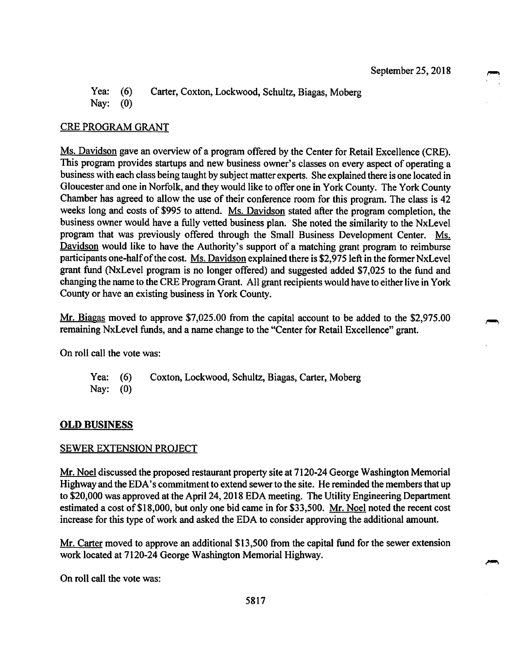Yea:  $(6)$ Carter, Coxton, Lockwood, Schultz, Biagas, Moberg Nav:  $(0)$ 

# **CRE PROGRAM GRANT**

Ms. Davidson gave an overview of a program offered by the Center for Retail Excellence (CRE). This program provides startups and new business owner's classes on every aspect of operating a business with each class being taught by subject matter experts. She explained there is one located in Gloucester and one in Norfolk, and they would like to offer one in York County. The York County Chamber has agreed to allow the use of their conference room for this program. The class is 42 weeks long and costs of \$995 to attend. Ms. Davidson stated after the program completion, the business owner would have a fully vetted business plan. She noted the similarity to the NxLevel program that was previously offered through the Small Business Development Center. Ms. Davidson would like to have the Authority's support of a matching grant program to reimburse participants one-half of the cost. Ms. Davidson explained there is \$2,975 left in the former NxLevel grant fund (NxLevel program is no longer offered) and suggested added \$7,025 to the fund and changing the name to the CRE Program Grant. All grant recipients would have to either live in York County or have an existing business in York County.

Mr. Biagas moved to approve \$7,025.00 from the capital account to be added to the \$2,975.00 remaining NxLevel funds, and a name change to the "Center for Retail Excellence" grant.

On roll call the vote was:

Yea:  $(6)$ Coxton, Lockwood, Schultz, Biagas, Carter, Moberg Nay:  $(0)$ 

### **OLD BUSINESS**

### **SEWER EXTENSION PROJECT**

Mr. Noel discussed the proposed restaurant property site at 7120-24 George Washington Memorial Highway and the EDA's commitment to extend sewer to the site. He reminded the members that up to \$20,000 was approved at the April 24, 2018 EDA meeting. The Utility Engineering Department estimated a cost of \$18,000, but only one bid came in for \$33,500. Mr. Noel noted the recent cost increase for this type of work and asked the EDA to consider approving the additional amount.

Mr. Carter moved to approve an additional \$13,500 from the capital fund for the sewer extension work located at 7120-24 George Washington Memorial Highway.

On roll call the vote was: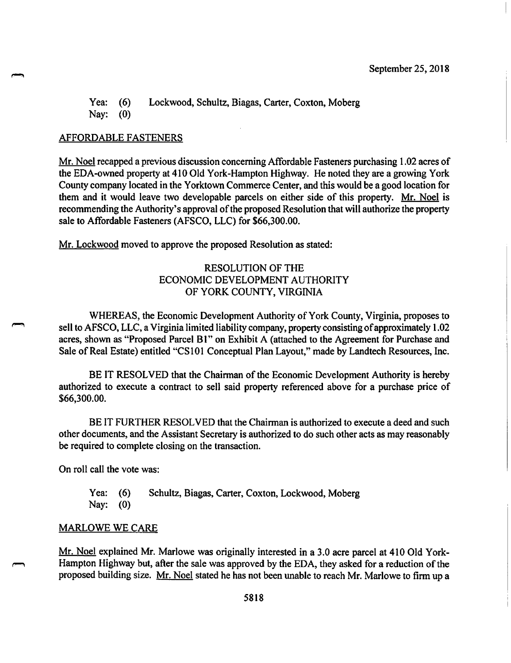#### Yea: Lockwood, Schultz, Biagas, Carter, Coxton, Moberg  $(6)$ Nay:  $(0)$

#### **AFFORDABLE FASTENERS**

Mr. Noel recapped a previous discussion concerning Affordable Fasteners purchasing 1.02 acres of the EDA-owned property at 410 Old York-Hampton Highway. He noted they are a growing York County company located in the Yorktown Commerce Center, and this would be a good location for them and it would leave two developable parcels on either side of this property. Mr. Noel is recommending the Authority's approval of the proposed Resolution that will authorize the property sale to Affordable Fasteners (AFSCO, LLC) for \$66,300.00.

Mr. Lockwood moved to approve the proposed Resolution as stated:

# **RESOLUTION OF THE** ECONOMIC DEVELOPMENT AUTHORITY OF YORK COUNTY, VIRGINIA

WHEREAS, the Economic Development Authority of York County, Virginia, proposes to sell to AFSCO, LLC, a Virginia limited liability company, property consisting of approximately 1.02 acres, shown as "Proposed Parcel B1" on Exhibit A (attached to the Agreement for Purchase and Sale of Real Estate) entitled "CS101 Conceptual Plan Layout," made by Landtech Resources, Inc.

BE IT RESOLVED that the Chairman of the Economic Development Authority is hereby authorized to execute a contract to sell said property referenced above for a purchase price of \$66,300.00.

BE IT FURTHER RESOLVED that the Chairman is authorized to execute a deed and such other documents, and the Assistant Secretary is authorized to do such other acts as may reasonably be required to complete closing on the transaction.

On roll call the vote was:

Schultz, Biagas, Carter, Coxton, Lockwood, Moberg Yea:  $(6)$ Nay:  $(0)$ 

#### **MARLOWE WE CARE**

Mr. Noel explained Mr. Marlowe was originally interested in a 3.0 acre parcel at 410 Old York-Hampton Highway but, after the sale was approved by the EDA, they asked for a reduction of the proposed building size. Mr. Noel stated he has not been unable to reach Mr. Marlowe to firm up a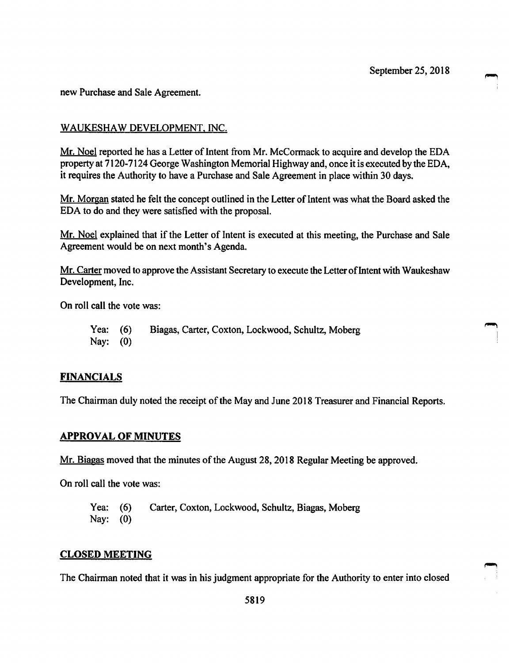new Purchase and Sale Agreement.

# WAUKESHAW DEVELOPMENT, INC.

Mr. Noel reported he has a Letter of Intent from Mr. McCormack to acquire and develop the EDA property at 7120-7124 George Washington Memorial Highway and, once it is executed by the EDA, it requires the Authority to have a Purchase and Sale Agreement in place within 30 days.

Mr. Morgan stated he felt the concept outlined in the Letter of Intent was what the Board asked the EDA to do and they were satisfied with the proposal.

Mr. Noel explained that if the Letter of Intent is executed at this meeting, the Purchase and Sale Agreement would be on next month's Agenda.

Mr. Carter moved to approve the Assistant Secretary to execute the Letter of Intent with Waukeshaw Development, Inc.

On roll call the vote was:

Yea: Biagas, Carter, Coxton, Lockwood, Schultz, Moberg  $(6)$ Nay:  $(0)$ 

### **FINANCIALS**

The Chairman duly noted the receipt of the May and June 2018 Treasurer and Financial Reports.

### **APPROVAL OF MINUTES**

Mr. Biagas moved that the minutes of the August 28, 2018 Regular Meeting be approved.

On roll call the vote was:

Carter, Coxton, Lockwood, Schultz, Biagas, Moberg Yea:  $(6)$ Nay:  $(0)$ 

#### **CLOSED MEETING**

The Chairman noted that it was in his judgment appropriate for the Authority to enter into closed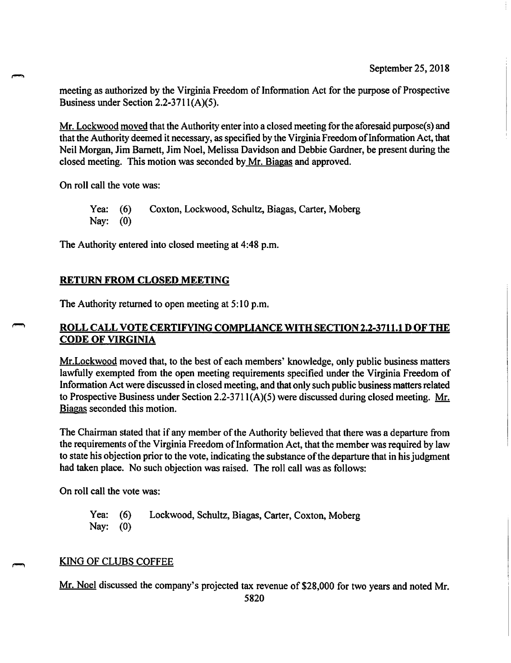meeting as authorized by the Virginia Freedom of Information Act for the purpose of Prospective Business under Section 2.2-3711(A)(5).

Mr. Lockwood moved that the Authority enter into a closed meeting for the aforesaid purpose(s) and that the Authority deemed it necessary, as specified by the Virginia Freedom of Information Act, that Neil Morgan, Jim Barnett, Jim Noel, Melissa Davidson and Debbie Gardner, be present during the closed meeting. This motion was seconded by Mr. Biagas and approved.

On roll call the vote was:

Coxton, Lockwood, Schultz, Biagas, Carter, Moberg Yea:  $(6)$ Nay:  $(0)$ 

The Authority entered into closed meeting at 4:48 p.m.

# **RETURN FROM CLOSED MEETING**

The Authority returned to open meeting at 5:10 p.m.

# <u>ROLL CALL VOTE CERTIFYING COMPLIANCE WITH SECTION 2.2-3711.1 D OF THE</u> **CODE OF VIRGINIA**

Mr. Lockwood moved that, to the best of each members' knowledge, only public business matters lawfully exempted from the open meeting requirements specified under the Virginia Freedom of Information Act were discussed in closed meeting, and that only such public business matters related to Prospective Business under Section 2.2-3711( $A$ )(5) were discussed during closed meeting. Mr. Biagas seconded this motion.

The Chairman stated that if any member of the Authority believed that there was a departure from the requirements of the Virginia Freedom of Information Act, that the member was required by law to state his objection prior to the vote, indicating the substance of the departure that in his judgment had taken place. No such objection was raised. The roll call was as follows:

On roll call the vote was:

Yea:  $(6)$ Lockwood, Schultz, Biagas, Carter, Coxton, Moberg Nay:  $(0)$ 

### **KING OF CLUBS COFFEE**

Mr. Noel discussed the company's projected tax revenue of \$28,000 for two years and noted Mr.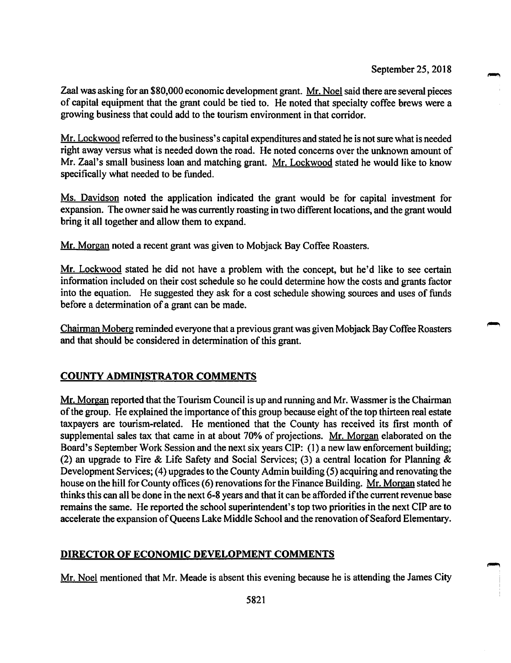Zaal was asking for an \$80,000 economic development grant. Mr. Noel said there are several pieces of capital equipment that the grant could be tied to. He noted that specialty coffee brews were a growing business that could add to the tourism environment in that corridor.

Mr. Lockwood referred to the business's capital expenditures and stated he is not sure what is needed right away versus what is needed down the road. He noted concerns over the unknown amount of Mr. Zaal's small business loan and matching grant. Mr. Lockwood stated he would like to know specifically what needed to be funded.

Ms. Davidson noted the application indicated the grant would be for capital investment for expansion. The owner said he was currently roasting in two different locations, and the grant would bring it all together and allow them to expand.

Mr. Morgan noted a recent grant was given to Mobjack Bay Coffee Roasters.

Mr. Lockwood stated he did not have a problem with the concept, but he'd like to see certain information included on their cost schedule so he could determine how the costs and grants factor into the equation. He suggested they ask for a cost schedule showing sources and uses of funds before a determination of a grant can be made.

Chairman Moberg reminded everyone that a previous grant was given Mobjack Bay Coffee Roasters and that should be considered in determination of this grant.

# **COUNTY ADMINISTRATOR COMMENTS**

Mr. Morgan reported that the Tourism Council is up and running and Mr. Wassmer is the Chairman of the group. He explained the importance of this group because eight of the top thirteen real estate taxpayers are tourism-related. He mentioned that the County has received its first month of supplemental sales tax that came in at about 70% of projections. Mr. Morgan elaborated on the Board's September Work Session and the next six years CIP: (1) a new law enforcement building; (2) an upgrade to Fire & Life Safety and Social Services; (3) a central location for Planning & Development Services; (4) upgrades to the County Admin building (5) acquiring and renovating the house on the hill for County offices (6) renovations for the Finance Building. Mr. Morgan stated he thinks this can all be done in the next 6-8 years and that it can be afforded if the current revenue base remains the same. He reported the school superintendent's top two priorities in the next CIP are to accelerate the expansion of Queens Lake Middle School and the renovation of Seaford Elementary.

# DIRECTOR OF ECONOMIC DEVELOPMENT COMMENTS

Mr. Noel mentioned that Mr. Meade is absent this evening because he is attending the James City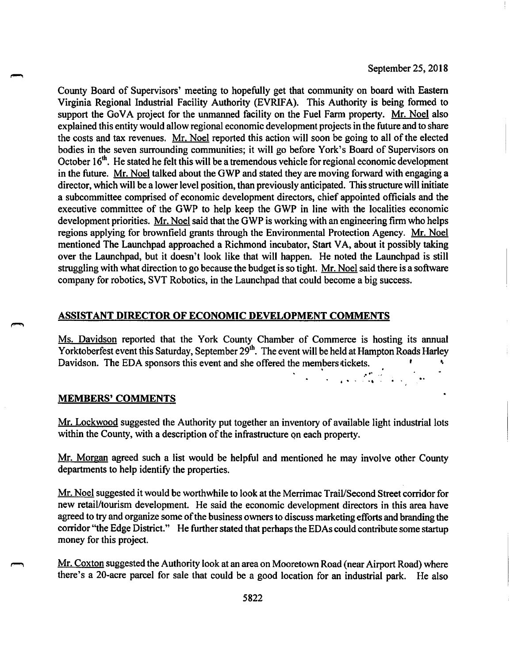$\frac{1}{2} \sum_{i=1}^{n} \frac{1}{2} \sum_{i=1}^{n} \frac{1}{2} \sum_{i=1}^{n} \frac{1}{2} \sum_{i=1}^{n} \frac{1}{2} \sum_{i=1}^{n} \frac{1}{2} \sum_{i=1}^{n} \frac{1}{2} \sum_{i=1}^{n} \frac{1}{2} \sum_{i=1}^{n} \frac{1}{2} \sum_{i=1}^{n} \frac{1}{2} \sum_{i=1}^{n} \frac{1}{2} \sum_{i=1}^{n} \frac{1}{2} \sum_{i=1}^{n} \frac{1}{2} \sum_{i=1}^{n$ 

 $\ddot{\phantom{a}}$ 

County Board of Supervisors' meeting to hopefully get that community on board with Eastern Virginia Regional Industrial Facility Authority (EVRIFA). This Authority is being formed to support the GoVA project for the unmanned facility on the Fuel Farm property. Mr. Noel also explained this entity would allow regional economic development projects in the future and to share the costs and tax revenues. Mr. Noel reported this action will soon be going to all of the elected bodies in the seven surrounding communities; it will go before York's Board of Supervisors on October 16<sup>th</sup>. He stated he felt this will be a tremendous vehicle for regional economic development in the future. Mr. Noel talked about the GWP and stated they are moving forward with engaging a director, which will be a lower level position, than previously anticipated. This structure will initiate a subcommittee comprised of economic development directors, chief appointed officials and the executive committee of the GWP to help keep the GWP in line with the localities economic development priorities. Mr. Noel said that the GWP is working with an engineering firm who helps regions applying for brownfield grants through the Environmental Protection Agency. Mr. Noel mentioned The Launchpad approached a Richmond incubator, Start VA, about it possibly taking over the Launchpad, but it doesn't look like that will happen. He noted the Launchpad is still struggling with what direction to go because the budget is so tight. Mr. Noel said there is a software company for robotics, SVT Robotics, in the Launchpad that could become a big success.

### ASSISTANT DIRECTOR OF ECONOMIC DEVELOPMENT COMMENTS

Ms. Davidson reported that the York County Chamber of Commerce is hosting its annual Yorktoberfest event this Saturday, September 29<sup>th</sup>. The event will be held at Hampton Roads Harley Davidson. The EDA sponsors this event and she offered the members tickets.

#### **MEMBERS' COMMENTS**

Mr. Lockwood suggested the Authority put together an inventory of available light industrial lots within the County, with a description of the infrastructure on each property.

Mr. Morgan agreed such a list would be helpful and mentioned he may involve other County departments to help identify the properties.

Mr. Noel suggested it would be worthwhile to look at the Merrimac Trail/Second Street corridor for new retail/tourism development. He said the economic development directors in this area have agreed to try and organize some of the business owners to discuss marketing efforts and branding the corridor "the Edge District." He further stated that perhaps the EDAs could contribute some startup money for this project.

Mr. Coxton suggested the Authority look at an area on Mooretown Road (near Airport Road) where there's a 20-acre parcel for sale that could be a good location for an industrial park. He also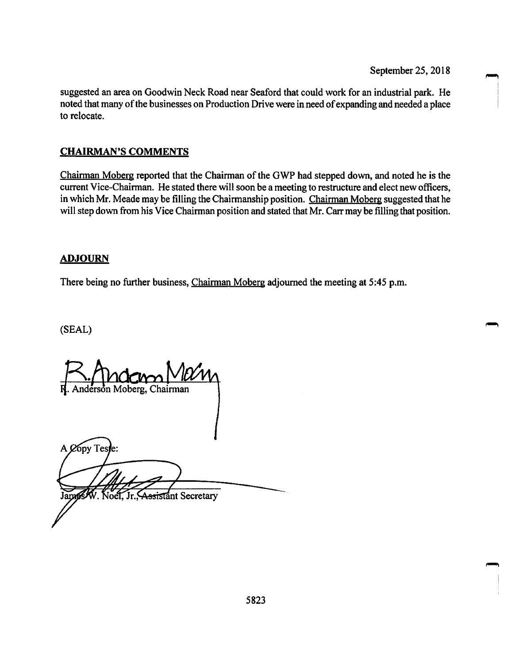suggested an area on Goodwin Neck Road near Seaford that could work for an industrial park. He noted that many of the businesses on Production Drive were in need of expanding and needed a place to relocate.

# **CHAIRMAN'S COMMENTS**

Chairman Moberg reported that the Chairman of the GWP had stepped down, and noted he is the current Vice-Chairman. He stated there will soon be a meeting to restructure and elect new officers, in which Mr. Meade may be filling the Chairmanship position. Chairman Moberg suggested that he will step down from his Vice Chairman position and stated that Mr. Carr may be filling that position.

# **ADJOURN**

There being no further business, Chairman Moberg adjourned the meeting at 5:45 p.m.

(SEAL)

Anderson Moberg, Chairman

A Copy Teste: ssistant Secretary Jame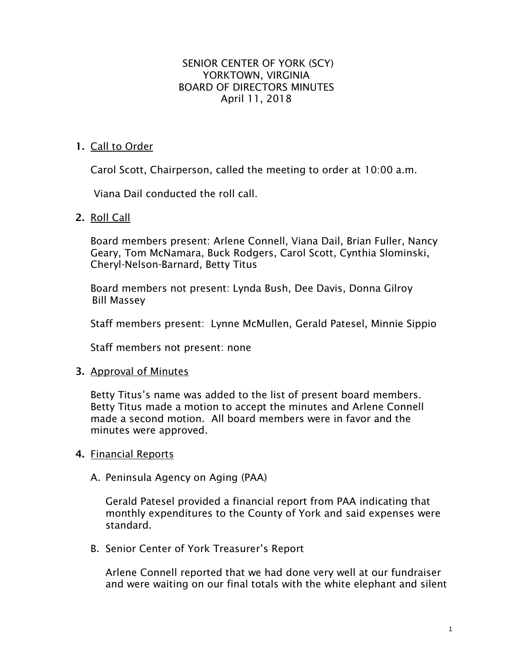# SENIOR CENTER OF YORK (SCY) YORKTOWN, VIRGINIA BOARD OF DIRECTORS MINUTES April 11, 2018

# **1.** Call to Order

Carol Scott, Chairperson, called the meeting to order at 10:00 a.m.

Viana Dail conducted the roll call.

**2.** Roll Call

Board members present: Arlene Connell, Viana Dail, Brian Fuller, Nancy Geary, Tom McNamara, Buck Rodgers, Carol Scott, Cynthia Slominski, Cheryl-Nelson-Barnard, Betty Titus

Board members not present: Lynda Bush, Dee Davis, Donna Gilroy Bill Massey

Staff members present: Lynne McMullen, Gerald Patesel, Minnie Sippio

Staff members not present: none

# **3.** Approval of Minutes

Betty Titus's name was added to the list of present board members. Betty Titus made a motion to accept the minutes and Arlene Connell made a second motion. All board members were in favor and the minutes were approved.

# **4.** Financial Reports

# A. Peninsula Agency on Aging (PAA)

Gerald Patesel provided a financial report from PAA indicating that monthly expenditures to the County of York and said expenses were standard.

B. Senior Center of York Treasurer's Report

Arlene Connell reported that we had done very well at our fundraiser and were waiting on our final totals with the white elephant and silent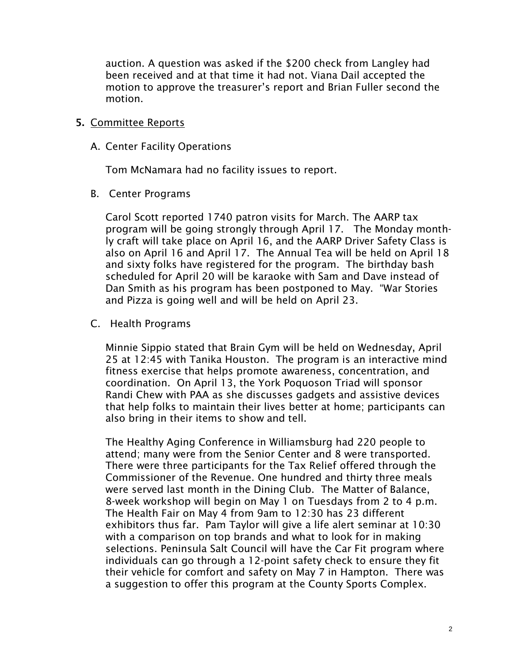auction. A question was asked if the \$200 check from Langley had been received and at that time it had not. Viana Dail accepted the motion to approve the treasurer's report and Brian Fuller second the motion.

# **5.** Committee Reports

A. Center Facility Operations

Tom McNamara had no facility issues to report.

B. Center Programs

Carol Scott reported 1740 patron visits for March. The AARP tax program will be going strongly through April 17. The Monday monthly craft will take place on April 16, and the AARP Driver Safety Class is also on April 16 and April 17. The Annual Tea will be held on April 18 and sixty folks have registered for the program. The birthday bash scheduled for April 20 will be karaoke with Sam and Dave instead of Dan Smith as his program has been postponed to May. "War Stories and Pizza is going well and will be held on April 23.

C. Health Programs

Minnie Sippio stated that Brain Gym will be held on Wednesday, April 25 at 12:45 with Tanika Houston. The program is an interactive mind fitness exercise that helps promote awareness, concentration, and coordination. On April 13, the York Poquoson Triad will sponsor Randi Chew with PAA as she discusses gadgets and assistive devices that help folks to maintain their lives better at home; participants can also bring in their items to show and tell.

The Healthy Aging Conference in Williamsburg had 220 people to attend; many were from the Senior Center and 8 were transported. There were three participants for the Tax Relief offered through the Commissioner of the Revenue. One hundred and thirty three meals were served last month in the Dining Club. The Matter of Balance, 8-week workshop will begin on May 1 on Tuesdays from 2 to 4 p.m. The Health Fair on May 4 from 9am to 12:30 has 23 different exhibitors thus far. Pam Taylor will give a life alert seminar at 10:30 with a comparison on top brands and what to look for in making selections. Peninsula Salt Council will have the Car Fit program where individuals can go through a 12-point safety check to ensure they fit their vehicle for comfort and safety on May 7 in Hampton. There was a suggestion to offer this program at the County Sports Complex.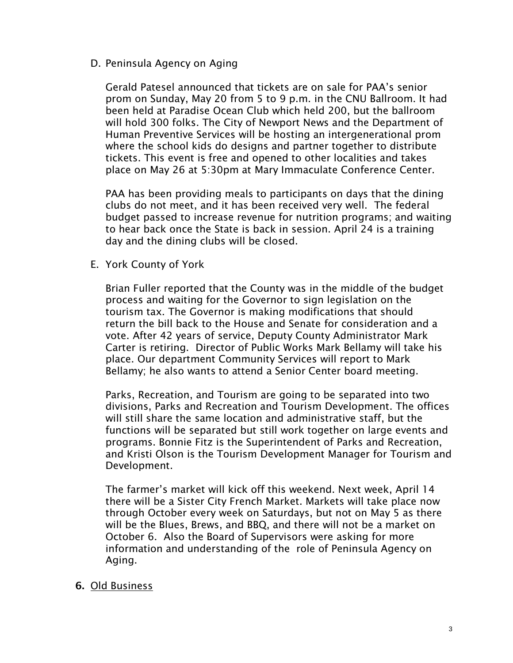D. Peninsula Agency on Aging

Gerald Patesel announced that tickets are on sale for PAA's senior prom on Sunday, May 20 from 5 to 9 p.m. in the CNU Ballroom. It had been held at Paradise Ocean Club which held 200, but the ballroom will hold 300 folks. The City of Newport News and the Department of Human Preventive Services will be hosting an intergenerational prom where the school kids do designs and partner together to distribute tickets. This event is free and opened to other localities and takes place on May 26 at 5:30pm at Mary Immaculate Conference Center.

PAA has been providing meals to participants on days that the dining clubs do not meet, and it has been received very well. The federal budget passed to increase revenue for nutrition programs; and waiting to hear back once the State is back in session. April 24 is a training day and the dining clubs will be closed.

E. York County of York

Brian Fuller reported that the County was in the middle of the budget process and waiting for the Governor to sign legislation on the tourism tax. The Governor is making modifications that should return the bill back to the House and Senate for consideration and a vote. After 42 years of service, Deputy County Administrator Mark Carter is retiring. Director of Public Works Mark Bellamy will take his place. Our department Community Services will report to Mark Bellamy; he also wants to attend a Senior Center board meeting.

Parks, Recreation, and Tourism are going to be separated into two divisions, Parks and Recreation and Tourism Development. The offices will still share the same location and administrative staff, but the functions will be separated but still work together on large events and programs. Bonnie Fitz is the Superintendent of Parks and Recreation, and Kristi Olson is the Tourism Development Manager for Tourism and Development.

The farmer's market will kick off this weekend. Next week, April 14 there will be a Sister City French Market. Markets will take place now through October every week on Saturdays, but not on May 5 as there will be the Blues, Brews, and BBQ, and there will not be a market on October 6. Also the Board of Supervisors were asking for more information and understanding of the role of Peninsula Agency on Aging.

# **6.** Old Business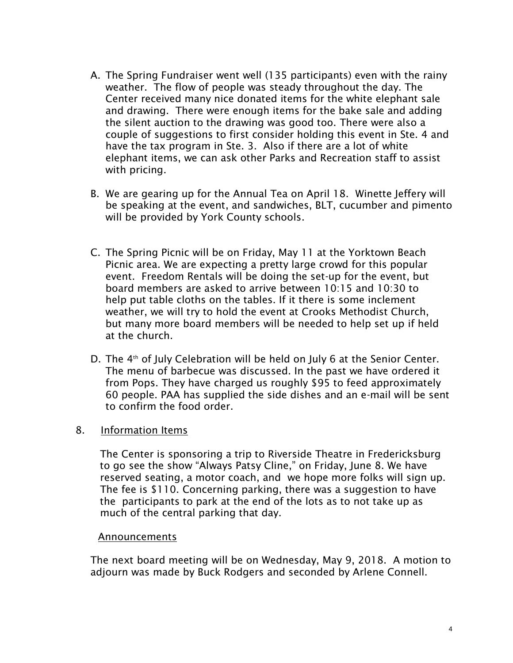- A. The Spring Fundraiser went well (135 participants) even with the rainy weather. The flow of people was steady throughout the day. The Center received many nice donated items for the white elephant sale and drawing. There were enough items for the bake sale and adding the silent auction to the drawing was good too. There were also a couple of suggestions to first consider holding this event in Ste. 4 and have the tax program in Ste. 3. Also if there are a lot of white elephant items, we can ask other Parks and Recreation staff to assist with pricing.
- B. We are gearing up for the Annual Tea on April 18. Winette Jeffery will be speaking at the event, and sandwiches, BLT, cucumber and pimento will be provided by York County schools.
- C. The Spring Picnic will be on Friday, May 11 at the Yorktown Beach Picnic area. We are expecting a pretty large crowd for this popular event. Freedom Rentals will be doing the set-up for the event, but board members are asked to arrive between 10:15 and 10:30 to help put table cloths on the tables. If it there is some inclement weather, we will try to hold the event at Crooks Methodist Church, but many more board members will be needed to help set up if held at the church.
- D. The 4<sup>th</sup> of July Celebration will be held on July 6 at the Senior Center. The menu of barbecue was discussed. In the past we have ordered it from Pops. They have charged us roughly \$95 to feed approximately 60 people. PAA has supplied the side dishes and an e-mail will be sent to confirm the food order.

# 8. Information Items

 The Center is sponsoring a trip to Riverside Theatre in Fredericksburg to go see the show "Always Patsy Cline," on Friday, June 8. We have reserved seating, a motor coach, and we hope more folks will sign up. The fee is \$110. Concerning parking, there was a suggestion to have the participants to park at the end of the lots as to not take up as much of the central parking that day.

# Announcements

The next board meeting will be on Wednesday, May 9, 2018. A motion to adjourn was made by Buck Rodgers and seconded by Arlene Connell.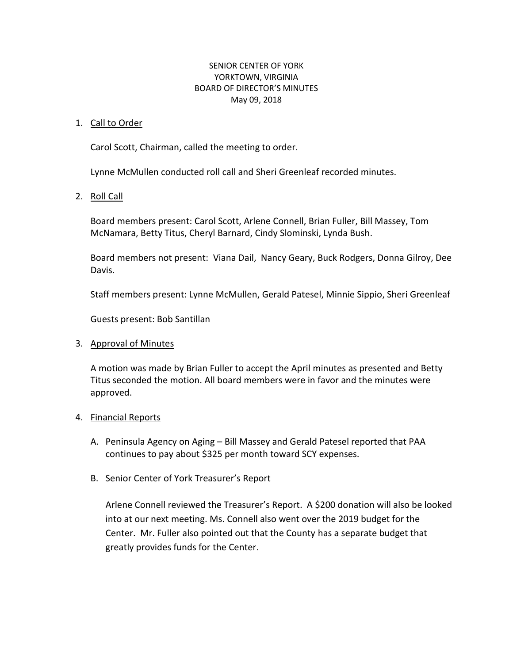# SENIOR CENTER OF YORK YORKTOWN, VIRGINIA BOARD OF DIRECTOR'S MINUTES May 09, 2018

# 1. Call to Order

Carol Scott, Chairman, called the meeting to order.

Lynne McMullen conducted roll call and Sheri Greenleaf recorded minutes.

# 2. Roll Call

Board members present: Carol Scott, Arlene Connell, Brian Fuller, Bill Massey, Tom McNamara, Betty Titus, Cheryl Barnard, Cindy Slominski, Lynda Bush.

Board members not present: Viana Dail, Nancy Geary, Buck Rodgers, Donna Gilroy, Dee Davis.

Staff members present: Lynne McMullen, Gerald Patesel, Minnie Sippio, Sheri Greenleaf

Guests present: Bob Santillan

# 3. Approval of Minutes

A motion was made by Brian Fuller to accept the April minutes as presented and Betty Titus seconded the motion. All board members were in favor and the minutes were approved.

# 4. Financial Reports

- A. Peninsula Agency on Aging Bill Massey and Gerald Patesel reported that PAA continues to pay about \$325 per month toward SCY expenses.
- B. Senior Center of York Treasurer's Report

Arlene Connell reviewed the Treasurer's Report. A \$200 donation will also be looked into at our next meeting. Ms. Connell also went over the 2019 budget for the Center. Mr. Fuller also pointed out that the County has a separate budget that greatly provides funds for the Center.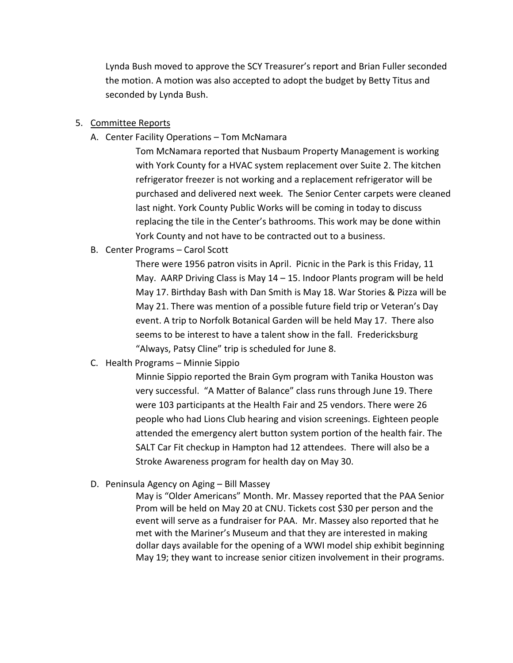Lynda Bush moved to approve the SCY Treasurer's report and Brian Fuller seconded the motion. A motion was also accepted to adopt the budget by Betty Titus and seconded by Lynda Bush.

# 5. Committee Reports

A. Center Facility Operations – Tom McNamara

Tom McNamara reported that Nusbaum Property Management is working with York County for a HVAC system replacement over Suite 2. The kitchen refrigerator freezer is not working and a replacement refrigerator will be purchased and delivered next week. The Senior Center carpets were cleaned last night. York County Public Works will be coming in today to discuss replacing the tile in the Center's bathrooms. This work may be done within York County and not have to be contracted out to a business.

B. Center Programs – Carol Scott

There were 1956 patron visits in April. Picnic in the Park is this Friday, 11 May. AARP Driving Class is May 14 – 15. Indoor Plants program will be held May 17. Birthday Bash with Dan Smith is May 18. War Stories & Pizza will be May 21. There was mention of a possible future field trip or Veteran's Day event. A trip to Norfolk Botanical Garden will be held May 17. There also seems to be interest to have a talent show in the fall. Fredericksburg "Always, Patsy Cline" trip is scheduled for June 8.

C. Health Programs – Minnie Sippio

Minnie Sippio reported the Brain Gym program with Tanika Houston was very successful. "A Matter of Balance" class runs through June 19. There were 103 participants at the Health Fair and 25 vendors. There were 26 people who had Lions Club hearing and vision screenings. Eighteen people attended the emergency alert button system portion of the health fair. The SALT Car Fit checkup in Hampton had 12 attendees. There will also be a Stroke Awareness program for health day on May 30.

D. Peninsula Agency on Aging – Bill Massey

May is "Older Americans" Month. Mr. Massey reported that the PAA Senior Prom will be held on May 20 at CNU. Tickets cost \$30 per person and the event will serve as a fundraiser for PAA. Mr. Massey also reported that he met with the Mariner's Museum and that they are interested in making dollar days available for the opening of a WWI model ship exhibit beginning May 19; they want to increase senior citizen involvement in their programs.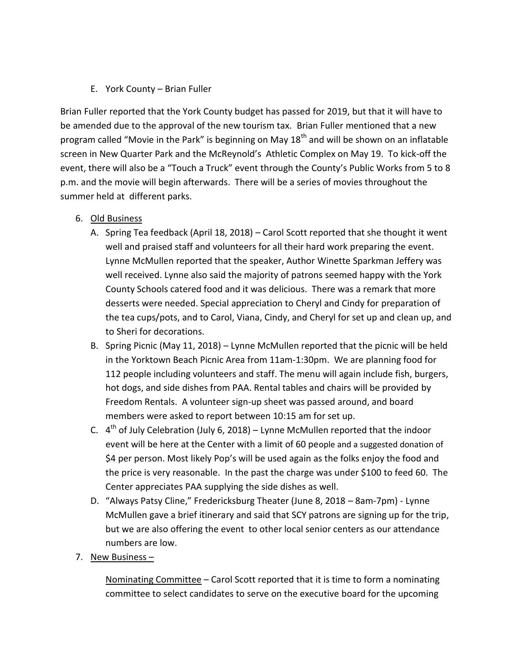# E. York County – Brian Fuller

Brian Fuller reported that the York County budget has passed for 2019, but that it will have to be amended due to the approval of the new tourism tax. Brian Fuller mentioned that a new program called "Movie in the Park" is beginning on May  $18<sup>th</sup>$  and will be shown on an inflatable screen in New Quarter Park and the McReynold's Athletic Complex on May 19. To kick-off the event, there will also be a "Touch a Truck" event through the County's Public Works from 5 to 8 p.m. and the movie will begin afterwards. There will be a series of movies throughout the summer held at different parks.

# 6. Old Business

- A. Spring Tea feedback (April 18, 2018) Carol Scott reported that she thought it went well and praised staff and volunteers for all their hard work preparing the event. Lynne McMullen reported that the speaker, Author Winette Sparkman Jeffery was well received. Lynne also said the majority of patrons seemed happy with the York County Schools catered food and it was delicious. There was a remark that more desserts were needed. Special appreciation to Cheryl and Cindy for preparation of the tea cups/pots, and to Carol, Viana, Cindy, and Cheryl for set up and clean up, and to Sheri for decorations.
- B. Spring Picnic (May 11, 2018) Lynne McMullen reported that the picnic will be held in the Yorktown Beach Picnic Area from 11am-1:30pm. We are planning food for 112 people including volunteers and staff. The menu will again include fish, burgers, hot dogs, and side dishes from PAA. Rental tables and chairs will be provided by Freedom Rentals. A volunteer sign-up sheet was passed around, and board members were asked to report between 10:15 am for set up.
- C.  $4<sup>th</sup>$  of July Celebration (July 6, 2018) Lynne McMullen reported that the indoor event will be here at the Center with a limit of 60 people and a suggested donation of \$4 per person. Most likely Pop's will be used again as the folks enjoy the food and the price is very reasonable. In the past the charge was under \$100 to feed 60. The Center appreciates PAA supplying the side dishes as well.
- D. "Always Patsy Cline," Fredericksburg Theater (June 8, 2018 8am-7pm) Lynne McMullen gave a brief itinerary and said that SCY patrons are signing up for the trip, but we are also offering the event to other local senior centers as our attendance numbers are low.
- 7. New Business –

Nominating Committee – Carol Scott reported that it is time to form a nominating committee to select candidates to serve on the executive board for the upcoming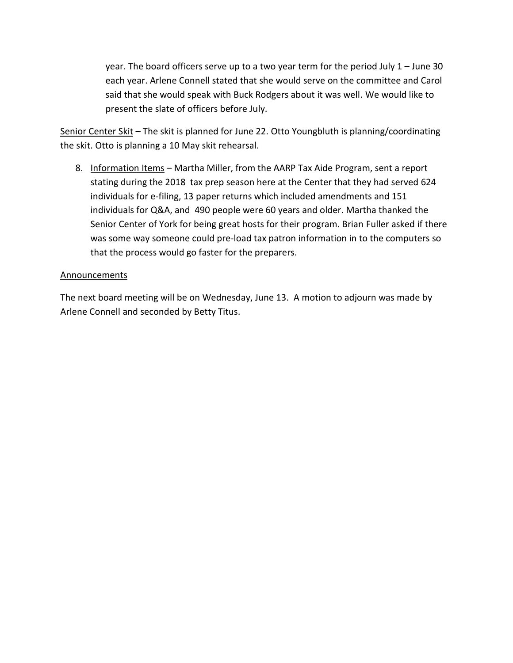year. The board officers serve up to a two year term for the period July 1 – June 30 each year. Arlene Connell stated that she would serve on the committee and Carol said that she would speak with Buck Rodgers about it was well. We would like to present the slate of officers before July.

Senior Center Skit – The skit is planned for June 22. Otto Youngbluth is planning/coordinating the skit. Otto is planning a 10 May skit rehearsal.

8. Information Items - Martha Miller, from the AARP Tax Aide Program, sent a report stating during the 2018 tax prep season here at the Center that they had served 624 individuals for e-filing, 13 paper returns which included amendments and 151 individuals for Q&A, and 490 people were 60 years and older. Martha thanked the Senior Center of York for being great hosts for their program. Brian Fuller asked if there was some way someone could pre-load tax patron information in to the computers so that the process would go faster for the preparers.

### Announcements

The next board meeting will be on Wednesday, June 13. A motion to adjourn was made by Arlene Connell and seconded by Betty Titus.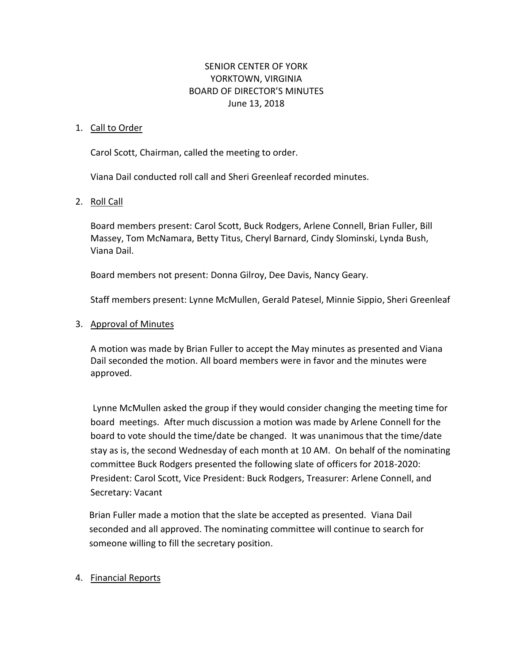# SENIOR CENTER OF YORK YORKTOWN, VIRGINIA BOARD OF DIRECTOR'S MINUTES June 13, 2018

# 1. Call to Order

Carol Scott, Chairman, called the meeting to order.

Viana Dail conducted roll call and Sheri Greenleaf recorded minutes.

# 2. Roll Call

Board members present: Carol Scott, Buck Rodgers, Arlene Connell, Brian Fuller, Bill Massey, Tom McNamara, Betty Titus, Cheryl Barnard, Cindy Slominski, Lynda Bush, Viana Dail.

Board members not present: Donna Gilroy, Dee Davis, Nancy Geary.

Staff members present: Lynne McMullen, Gerald Patesel, Minnie Sippio, Sheri Greenleaf

# 3. Approval of Minutes

A motion was made by Brian Fuller to accept the May minutes as presented and Viana Dail seconded the motion. All board members were in favor and the minutes were approved.

Lynne McMullen asked the group if they would consider changing the meeting time for board meetings. After much discussion a motion was made by Arlene Connell for the board to vote should the time/date be changed. It was unanimous that the time/date stay as is, the second Wednesday of each month at 10 AM. On behalf of the nominating committee Buck Rodgers presented the following slate of officers for 2018-2020: President: Carol Scott, Vice President: Buck Rodgers, Treasurer: Arlene Connell, and Secretary: Vacant

Brian Fuller made a motion that the slate be accepted as presented. Viana Dail seconded and all approved. The nominating committee will continue to search for someone willing to fill the secretary position.

# 4. Financial Reports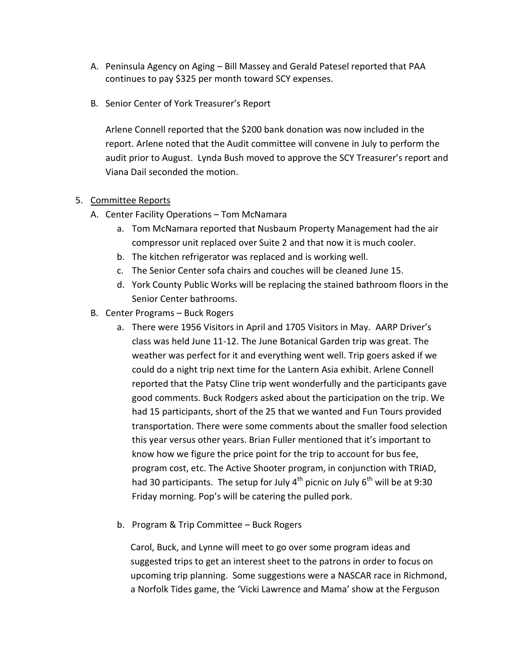- A. Peninsula Agency on Aging Bill Massey and Gerald Patesel reported that PAA continues to pay \$325 per month toward SCY expenses.
- B. Senior Center of York Treasurer's Report

Arlene Connell reported that the \$200 bank donation was now included in the report. Arlene noted that the Audit committee will convene in July to perform the audit prior to August. Lynda Bush moved to approve the SCY Treasurer's report and Viana Dail seconded the motion.

# 5. Committee Reports

- A. Center Facility Operations Tom McNamara
	- a. Tom McNamara reported that Nusbaum Property Management had the air compressor unit replaced over Suite 2 and that now it is much cooler.
	- b. The kitchen refrigerator was replaced and is working well.
	- c. The Senior Center sofa chairs and couches will be cleaned June 15.
	- d. York County Public Works will be replacing the stained bathroom floors in the Senior Center bathrooms.
- B. Center Programs Buck Rogers
	- a. There were 1956 Visitors in April and 1705 Visitors in May. AARP Driver's class was held June 11-12. The June Botanical Garden trip was great. The weather was perfect for it and everything went well. Trip goers asked if we could do a night trip next time for the Lantern Asia exhibit. Arlene Connell reported that the Patsy Cline trip went wonderfully and the participants gave good comments. Buck Rodgers asked about the participation on the trip. We had 15 participants, short of the 25 that we wanted and Fun Tours provided transportation. There were some comments about the smaller food selection this year versus other years. Brian Fuller mentioned that it's important to know how we figure the price point for the trip to account for bus fee, program cost, etc. The Active Shooter program, in conjunction with TRIAD, had 30 participants. The setup for July 4<sup>th</sup> picnic on July 6<sup>th</sup> will be at 9:30 Friday morning. Pop's will be catering the pulled pork.
	- b. Program & Trip Committee Buck Rogers

Carol, Buck, and Lynne will meet to go over some program ideas and suggested trips to get an interest sheet to the patrons in order to focus on upcoming trip planning. Some suggestions were a NASCAR race in Richmond, a Norfolk Tides game, the 'Vicki Lawrence and Mama' show at the Ferguson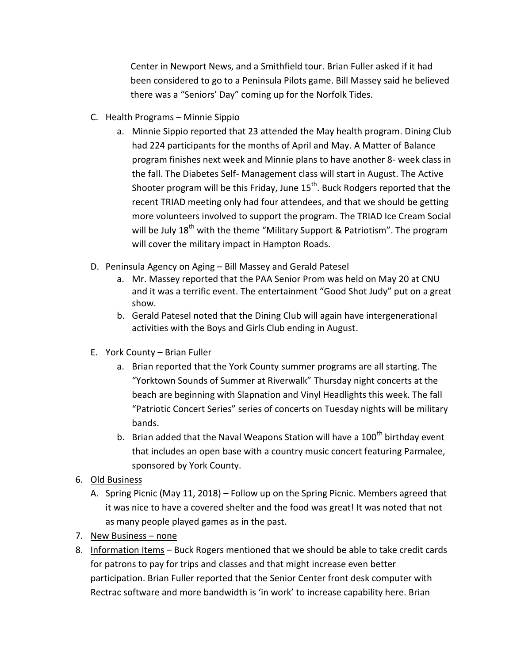Center in Newport News, and a Smithfield tour. Brian Fuller asked if it had been considered to go to a Peninsula Pilots game. Bill Massey said he believed there was a "Seniors' Day" coming up for the Norfolk Tides.

- C. Health Programs Minnie Sippio
	- a. Minnie Sippio reported that 23 attended the May health program. Dining Club had 224 participants for the months of April and May. A Matter of Balance program finishes next week and Minnie plans to have another 8- week class in the fall. The Diabetes Self- Management class will start in August. The Active Shooter program will be this Friday, June  $15<sup>th</sup>$ . Buck Rodgers reported that the recent TRIAD meeting only had four attendees, and that we should be getting more volunteers involved to support the program. The TRIAD Ice Cream Social will be July  $18^{th}$  with the theme "Military Support & Patriotism". The program will cover the military impact in Hampton Roads.
- D. Peninsula Agency on Aging Bill Massey and Gerald Patesel
	- a. Mr. Massey reported that the PAA Senior Prom was held on May 20 at CNU and it was a terrific event. The entertainment "Good Shot Judy" put on a great show.
	- b. Gerald Patesel noted that the Dining Club will again have intergenerational activities with the Boys and Girls Club ending in August.
- E. York County Brian Fuller
	- a. Brian reported that the York County summer programs are all starting. The "Yorktown Sounds of Summer at Riverwalk" Thursday night concerts at the beach are beginning with Slapnation and Vinyl Headlights this week. The fall "Patriotic Concert Series" series of concerts on Tuesday nights will be military bands.
	- b. Brian added that the Naval Weapons Station will have a  $100<sup>th</sup>$  birthday event that includes an open base with a country music concert featuring Parmalee, sponsored by York County.
- 6. Old Business
	- A. Spring Picnic (May 11, 2018) Follow up on the Spring Picnic. Members agreed that it was nice to have a covered shelter and the food was great! It was noted that not as many people played games as in the past.
- 7. New Business none
- 8. Information Items Buck Rogers mentioned that we should be able to take credit cards for patrons to pay for trips and classes and that might increase even better participation. Brian Fuller reported that the Senior Center front desk computer with Rectrac software and more bandwidth is 'in work' to increase capability here. Brian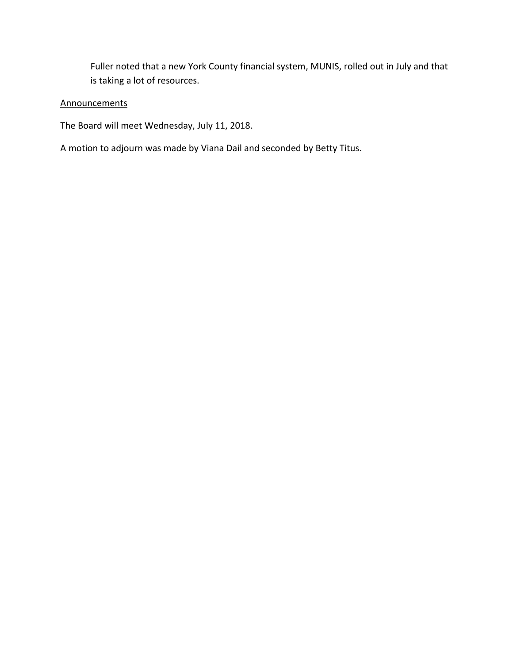Fuller noted that a new York County financial system, MUNIS, rolled out in July and that is taking a lot of resources.

# **Announcements**

The Board will meet Wednesday, July 11, 2018.

A motion to adjourn was made by Viana Dail and seconded by Betty Titus.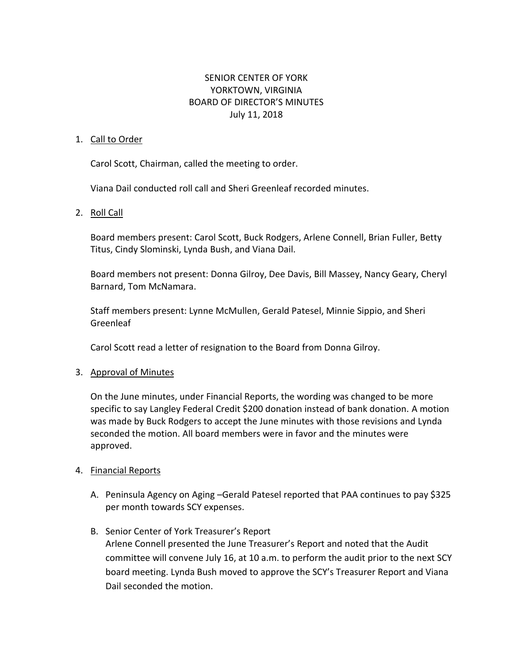# SENIOR CENTER OF YORK YORKTOWN, VIRGINIA BOARD OF DIRECTOR'S MINUTES July 11, 2018

#### 1. Call to Order

Carol Scott, Chairman, called the meeting to order.

Viana Dail conducted roll call and Sheri Greenleaf recorded minutes.

### 2. Roll Call

Board members present: Carol Scott, Buck Rodgers, Arlene Connell, Brian Fuller, Betty Titus, Cindy Slominski, Lynda Bush, and Viana Dail.

Board members not present: Donna Gilroy, Dee Davis, Bill Massey, Nancy Geary, Cheryl Barnard, Tom McNamara.

Staff members present: Lynne McMullen, Gerald Patesel, Minnie Sippio, and Sheri Greenleaf

Carol Scott read a letter of resignation to the Board from Donna Gilroy.

### 3. Approval of Minutes

On the June minutes, under Financial Reports, the wording was changed to be more specific to say Langley Federal Credit \$200 donation instead of bank donation. A motion was made by Buck Rodgers to accept the June minutes with those revisions and Lynda seconded the motion. All board members were in favor and the minutes were approved.

### 4. Financial Reports

- A. Peninsula Agency on Aging –Gerald Patesel reported that PAA continues to pay \$325 per month towards SCY expenses.
- B. Senior Center of York Treasurer's Report Arlene Connell presented the June Treasurer's Report and noted that the Audit committee will convene July 16, at 10 a.m. to perform the audit prior to the next SCY board meeting. Lynda Bush moved to approve the SCY's Treasurer Report and Viana Dail seconded the motion.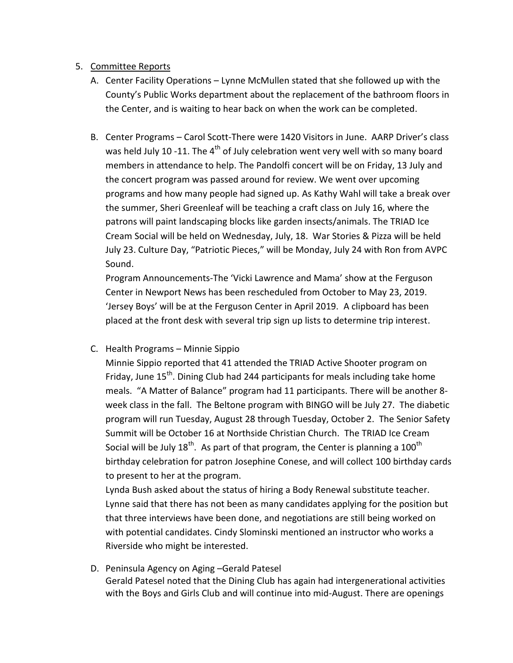# 5. Committee Reports

- A. Center Facility Operations Lynne McMullen stated that she followed up with the County's Public Works department about the replacement of the bathroom floors in the Center, and is waiting to hear back on when the work can be completed.
- B. Center Programs Carol Scott-There were 1420 Visitors in June. AARP Driver's class was held July 10 -11. The  $4<sup>th</sup>$  of July celebration went very well with so many board members in attendance to help. The Pandolfi concert will be on Friday, 13 July and the concert program was passed around for review. We went over upcoming programs and how many people had signed up. As Kathy Wahl will take a break over the summer, Sheri Greenleaf will be teaching a craft class on July 16, where the patrons will paint landscaping blocks like garden insects/animals. The TRIAD Ice Cream Social will be held on Wednesday, July, 18. War Stories & Pizza will be held July 23. Culture Day, "Patriotic Pieces," will be Monday, July 24 with Ron from AVPC Sound.

Program Announcements-The 'Vicki Lawrence and Mama' show at the Ferguson Center in Newport News has been rescheduled from October to May 23, 2019. 'Jersey Boys' will be at the Ferguson Center in April 2019. A clipboard has been placed at the front desk with several trip sign up lists to determine trip interest.

# C. Health Programs – Minnie Sippio

Minnie Sippio reported that 41 attended the TRIAD Active Shooter program on Friday, June 15<sup>th</sup>. Dining Club had 244 participants for meals including take home meals. "A Matter of Balance" program had 11 participants. There will be another 8 week class in the fall. The Beltone program with BINGO will be July 27. The diabetic program will run Tuesday, August 28 through Tuesday, October 2. The Senior Safety Summit will be October 16 at Northside Christian Church. The TRIAD Ice Cream Social will be July 18<sup>th</sup>. As part of that program, the Center is planning a 100<sup>th</sup> birthday celebration for patron Josephine Conese, and will collect 100 birthday cards to present to her at the program.

Lynda Bush asked about the status of hiring a Body Renewal substitute teacher. Lynne said that there has not been as many candidates applying for the position but that three interviews have been done, and negotiations are still being worked on with potential candidates. Cindy Slominski mentioned an instructor who works a Riverside who might be interested.

D. Peninsula Agency on Aging –Gerald Patesel Gerald Patesel noted that the Dining Club has again had intergenerational activities with the Boys and Girls Club and will continue into mid-August. There are openings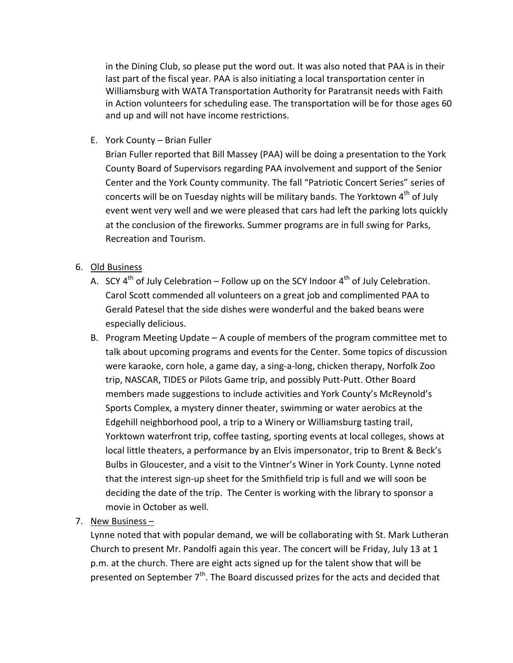in the Dining Club, so please put the word out. It was also noted that PAA is in their last part of the fiscal year. PAA is also initiating a local transportation center in Williamsburg with WATA Transportation Authority for Paratransit needs with Faith in Action volunteers for scheduling ease. The transportation will be for those ages 60 and up and will not have income restrictions.

E. York County – Brian Fuller

Brian Fuller reported that Bill Massey (PAA) will be doing a presentation to the York County Board of Supervisors regarding PAA involvement and support of the Senior Center and the York County community. The fall "Patriotic Concert Series" series of concerts will be on Tuesday nights will be military bands. The Yorktown  $4^{th}$  of July event went very well and we were pleased that cars had left the parking lots quickly at the conclusion of the fireworks. Summer programs are in full swing for Parks, Recreation and Tourism.

- 6. Old Business
	- A. SCY  $4^{th}$  of July Celebration Follow up on the SCY Indoor  $4^{th}$  of July Celebration. Carol Scott commended all volunteers on a great job and complimented PAA to Gerald Patesel that the side dishes were wonderful and the baked beans were especially delicious.
	- B. Program Meeting Update A couple of members of the program committee met to talk about upcoming programs and events for the Center. Some topics of discussion were karaoke, corn hole, a game day, a sing-a-long, chicken therapy, Norfolk Zoo trip, NASCAR, TIDES or Pilots Game trip, and possibly Putt-Putt. Other Board members made suggestions to include activities and York County's McReynold's Sports Complex, a mystery dinner theater, swimming or water aerobics at the Edgehill neighborhood pool, a trip to a Winery or Williamsburg tasting trail, Yorktown waterfront trip, coffee tasting, sporting events at local colleges, shows at local little theaters, a performance by an Elvis impersonator, trip to Brent & Beck's Bulbs in Gloucester, and a visit to the Vintner's Winer in York County. Lynne noted that the interest sign-up sheet for the Smithfield trip is full and we will soon be deciding the date of the trip. The Center is working with the library to sponsor a movie in October as well.
- 7. New Business –

Lynne noted that with popular demand, we will be collaborating with St. Mark Lutheran Church to present Mr. Pandolfi again this year. The concert will be Friday, July 13 at 1 p.m. at the church. There are eight acts signed up for the talent show that will be presented on September 7<sup>th</sup>. The Board discussed prizes for the acts and decided that